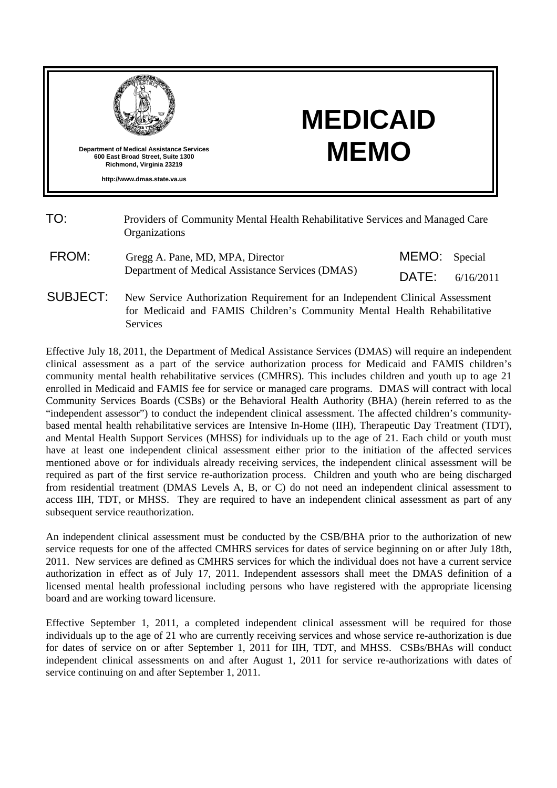

**Richmond, Virginia 23219 http://www.dmas.state.va.us**

# **MEDICAID MEMO**

| TO:             | Providers of Community Mental Health Rehabilitative Services and Managed Care<br>Organizations                                                                              |               |           |
|-----------------|-----------------------------------------------------------------------------------------------------------------------------------------------------------------------------|---------------|-----------|
| FROM:           | Gregg A. Pane, MD, MPA, Director<br>Department of Medical Assistance Services (DMAS)                                                                                        | MEMO: Special |           |
|                 |                                                                                                                                                                             | DATE:         | 6/16/2011 |
| <b>SUBJECT:</b> | New Service Authorization Requirement for an Independent Clinical Assessment<br>for Medicaid and FAMIS Children's Community Mental Health Rehabilitative<br><b>Services</b> |               |           |

Effective July 18, 2011, the Department of Medical Assistance Services (DMAS) will require an independent clinical assessment as a part of the service authorization process for Medicaid and FAMIS children's community mental health rehabilitative services (CMHRS). This includes children and youth up to age 21 enrolled in Medicaid and FAMIS fee for service or managed care programs. DMAS will contract with local Community Services Boards (CSBs) or the Behavioral Health Authority (BHA) (herein referred to as the "independent assessor") to conduct the independent clinical assessment. The affected children's communitybased mental health rehabilitative services are Intensive In-Home (IIH), Therapeutic Day Treatment (TDT), and Mental Health Support Services (MHSS) for individuals up to the age of 21. Each child or youth must have at least one independent clinical assessment either prior to the initiation of the affected services mentioned above or for individuals already receiving services, the independent clinical assessment will be required as part of the first service re-authorization process. Children and youth who are being discharged from residential treatment (DMAS Levels A, B, or C) do not need an independent clinical assessment to access IIH, TDT, or MHSS. They are required to have an independent clinical assessment as part of any subsequent service reauthorization.

An independent clinical assessment must be conducted by the CSB/BHA prior to the authorization of new service requests for one of the affected CMHRS services for dates of service beginning on or after July 18th, 2011. New services are defined as CMHRS services for which the individual does not have a current service authorization in effect as of July 17, 2011. Independent assessors shall meet the DMAS definition of a licensed mental health professional including persons who have registered with the appropriate licensing board and are working toward licensure.

Effective September 1, 2011, a completed independent clinical assessment will be required for those individuals up to the age of 21 who are currently receiving services and whose service re-authorization is due for dates of service on or after September 1, 2011 for IIH, TDT, and MHSS. CSBs/BHAs will conduct independent clinical assessments on and after August 1, 2011 for service re-authorizations with dates of service continuing on and after September 1, 2011.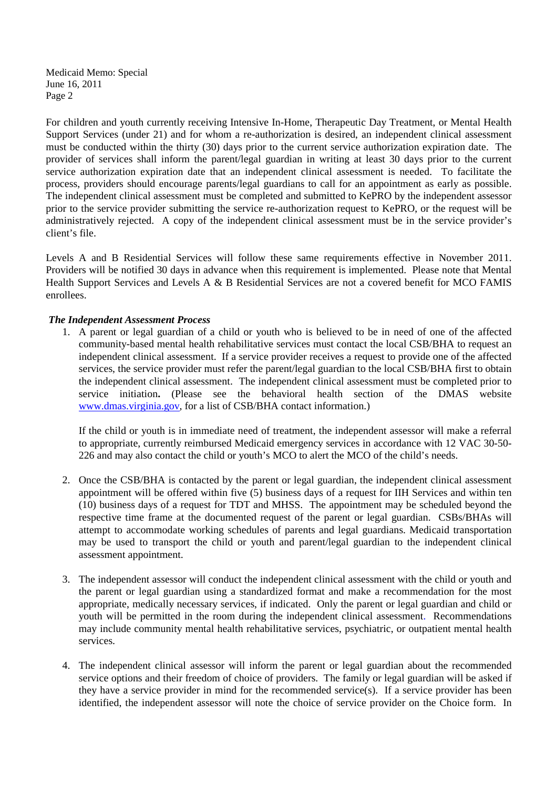Medicaid Memo: Special June 16, 2011 Page 2

For children and youth currently receiving Intensive In-Home, Therapeutic Day Treatment, or Mental Health Support Services (under 21) and for whom a re-authorization is desired, an independent clinical assessment must be conducted within the thirty (30) days prior to the current service authorization expiration date. The provider of services shall inform the parent/legal guardian in writing at least 30 days prior to the current service authorization expiration date that an independent clinical assessment is needed. To facilitate the process, providers should encourage parents/legal guardians to call for an appointment as early as possible. The independent clinical assessment must be completed and submitted to KePRO by the independent assessor prior to the service provider submitting the service re-authorization request to KePRO, or the request will be administratively rejected. A copy of the independent clinical assessment must be in the service provider's client's file.

Levels A and B Residential Services will follow these same requirements effective in November 2011. Providers will be notified 30 days in advance when this requirement is implemented. Please note that Mental Health Support Services and Levels A & B Residential Services are not a covered benefit for MCO FAMIS enrollees.

### *The Independent Assessment Process*

1. A parent or legal guardian of a child or youth who is believed to be in need of one of the affected community-based mental health rehabilitative services must contact the local CSB/BHA to request an independent clinical assessment. If a service provider receives a request to provide one of the affected services, the service provider must refer the parent/legal guardian to the local CSB/BHA first to obtain the independent clinical assessment. The independent clinical assessment must be completed prior to service initiation**.** (Please see the behavioral health section of the DMAS website www.dmas.virginia.gov*,* for a list of CSB/BHA contact information.)

If the child or youth is in immediate need of treatment, the independent assessor will make a referral to appropriate, currently reimbursed Medicaid emergency services in accordance with 12 VAC 30-50- 226 and may also contact the child or youth's MCO to alert the MCO of the child's needs.

- 2. Once the CSB/BHA is contacted by the parent or legal guardian, the independent clinical assessment appointment will be offered within five (5) business days of a request for IIH Services and within ten (10) business days of a request for TDT and MHSS. The appointment may be scheduled beyond the respective time frame at the documented request of the parent or legal guardian. CSBs/BHAs will attempt to accommodate working schedules of parents and legal guardians. Medicaid transportation may be used to transport the child or youth and parent/legal guardian to the independent clinical assessment appointment.
- 3. The independent assessor will conduct the independent clinical assessment with the child or youth and the parent or legal guardian using a standardized format and make a recommendation for the most appropriate, medically necessary services, if indicated. Only the parent or legal guardian and child or youth will be permitted in the room during the independent clinical assessment. Recommendations may include community mental health rehabilitative services, psychiatric, or outpatient mental health services.
- 4. The independent clinical assessor will inform the parent or legal guardian about the recommended service options and their freedom of choice of providers. The family or legal guardian will be asked if they have a service provider in mind for the recommended service(s). If a service provider has been identified, the independent assessor will note the choice of service provider on the Choice form. In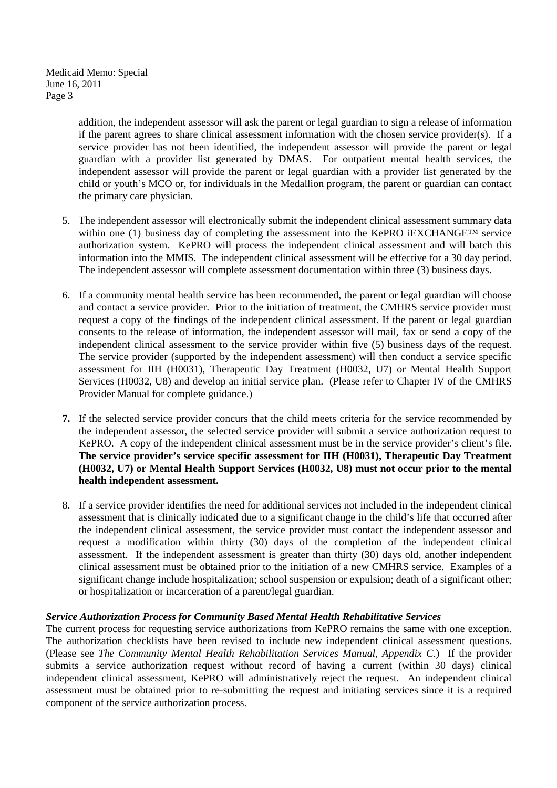addition, the independent assessor will ask the parent or legal guardian to sign a release of information if the parent agrees to share clinical assessment information with the chosen service provider(s). If a service provider has not been identified, the independent assessor will provide the parent or legal guardian with a provider list generated by DMAS. For outpatient mental health services, the independent assessor will provide the parent or legal guardian with a provider list generated by the child or youth's MCO or, for individuals in the Medallion program, the parent or guardian can contact the primary care physician.

- 5. The independent assessor will electronically submit the independent clinical assessment summary data within one (1) business day of completing the assessment into the KePRO iEXCHANGE™ service authorization system. KePRO will process the independent clinical assessment and will batch this information into the MMIS. The independent clinical assessment will be effective for a 30 day period. The independent assessor will complete assessment documentation within three (3) business days.
- 6. If a community mental health service has been recommended, the parent or legal guardian will choose and contact a service provider. Prior to the initiation of treatment, the CMHRS service provider must request a copy of the findings of the independent clinical assessment. If the parent or legal guardian consents to the release of information, the independent assessor will mail, fax or send a copy of the independent clinical assessment to the service provider within five (5) business days of the request. The service provider (supported by the independent assessment) will then conduct a service specific assessment for IIH (H0031), Therapeutic Day Treatment (H0032, U7) or Mental Health Support Services (H0032, U8) and develop an initial service plan. (Please refer to Chapter IV of the CMHRS Provider Manual for complete guidance.)
- **7.** If the selected service provider concurs that the child meets criteria for the service recommended by the independent assessor, the selected service provider will submit a service authorization request to KePRO. A copy of the independent clinical assessment must be in the service provider's client's file. **The service provider's service specific assessment for IIH (H0031), Therapeutic Day Treatment (H0032, U7) or Mental Health Support Services (H0032, U8) must not occur prior to the mental health independent assessment.**
- 8. If a service provider identifies the need for additional services not included in the independent clinical assessment that is clinically indicated due to a significant change in the child's life that occurred after the independent clinical assessment, the service provider must contact the independent assessor and request a modification within thirty (30) days of the completion of the independent clinical assessment. If the independent assessment is greater than thirty (30) days old, another independent clinical assessment must be obtained prior to the initiation of a new CMHRS service. Examples of a significant change include hospitalization; school suspension or expulsion; death of a significant other; or hospitalization or incarceration of a parent/legal guardian.

## *Service Authorization Process for Community Based Mental Health Rehabilitative Services*

The current process for requesting service authorizations from KePRO remains the same with one exception. The authorization checklists have been revised to include new independent clinical assessment questions. (Please see *The Community Mental Health Rehabilitation Services Manual, Appendix C*.) If the provider submits a service authorization request without record of having a current (within 30 days) clinical independent clinical assessment, KePRO will administratively reject the request. An independent clinical assessment must be obtained prior to re-submitting the request and initiating services since it is a required component of the service authorization process.